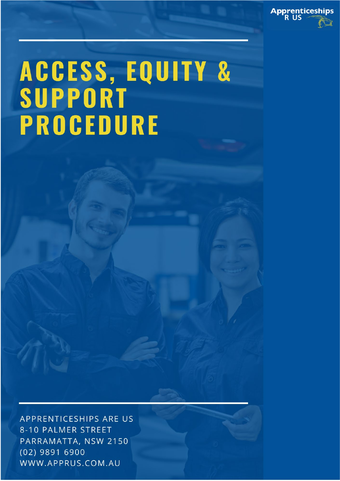

# ACCESS, EQUITY &<br>SUPPORT **PROCEDURE**

APPRENTICESHIPS ARE US 8-10 PALMER STREET PARRAMATTA, NSW 2150 (02) 9891 6900 WWW.APPRUS.COM.AU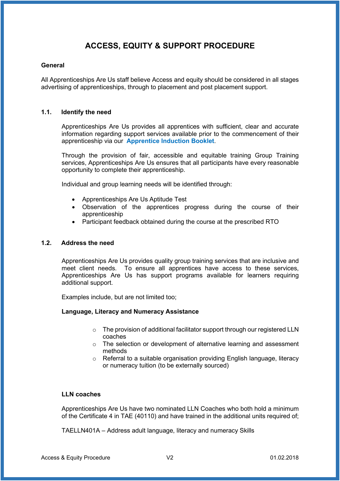# **ACCESS, EQUITY & SUPPORT PROCEDURE**

#### **General**

All Apprenticeships Are Us staff believe Access and equity should be considered in all stages advertising of apprenticeships, through to placement and post placement support.

#### **1.1. Identify the need**

Apprenticeships Are Us provides all apprentices with sufficient, clear and accurate information regarding support services available prior to the commencement of their apprenticeship via our **Apprentice Induction Booklet**.

Through the provision of fair, accessible and equitable training Group Training services, Apprenticeships Are Us ensures that all participants have every reasonable opportunity to complete their apprenticeship.

Individual and group learning needs will be identified through:

- Apprenticeships Are Us Aptitude Test
- Observation of the apprentices progress during the course of their apprenticeship
- Participant feedback obtained during the course at the prescribed RTO

#### **1.2. Address the need**

Apprenticeships Are Us provides quality group training services that are inclusive and meet client needs. To ensure all apprentices have access to these services, Apprenticeships Are Us has support programs available for learners requiring additional support.

Examples include, but are not limited too;

#### **Language, Literacy and Numeracy Assistance**

- o The provision of additional facilitator support through our registered LLN coaches
- o The selection or development of alternative learning and assessment methods
- o Referral to a suitable organisation providing English language, literacy or numeracy tuition (to be externally sourced)

#### **LLN coaches**

Apprenticeships Are Us have two nominated LLN Coaches who both hold a minimum of the Certificate 4 in TAE (40110) and have trained in the additional units required of;

TAELLN401A – Address adult language, literacy and numeracy Skills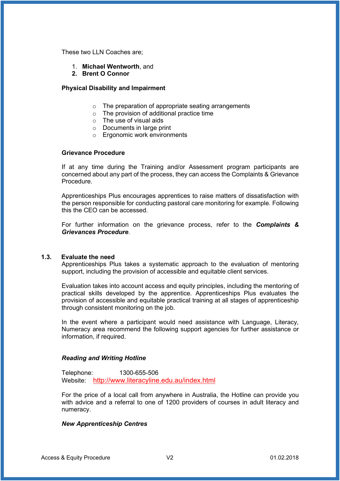These two LLN Coaches are;

- 1. **Michael Wentworth**, and
- **2. Brent O Connor**

#### **Physical Disability and Impairment**

- o The preparation of appropriate seating arrangements
- $\circ$  The provision of additional practice time
- $\circ$  The use of visual aids
- o Documents in large print
- o Ergonomic work environments

#### **Grievance Procedure**

If at any time during the Training and/or Assessment program participants are concerned about any part of the process, they can access the Complaints & Grievance Procedure.

Apprenticeships Plus encourages apprentices to raise matters of dissatisfaction with the person responsible for conducting pastoral care monitoring for example. Following this the CEO can be accessed.

For further information on the grievance process, refer to the *Complaints & Grievances Procedure*.

#### **1.3. Evaluate the need**

Apprenticeships Plus takes a systematic approach to the evaluation of mentoring support, including the provision of accessible and equitable client services.

Evaluation takes into account access and equity principles, including the mentoring of practical skills developed by the apprentice. Apprenticeships Plus evaluates the provision of accessible and equitable practical training at all stages of apprenticeship through consistent monitoring on the job.

In the event where a participant would need assistance with Language, Literacy, Numeracy area recommend the following support agencies for further assistance or information, if required.

#### *Reading and Writing Hotline*

Telephone: 1300-655-506 Website: <http://www.literacyline.edu.au/index.html>

For the price of a local call from anywhere in Australia, the Hotline can provide you with advice and a referral to one of 1200 providers of courses in adult literacy and numeracy.

#### *New Apprenticeship Centres*